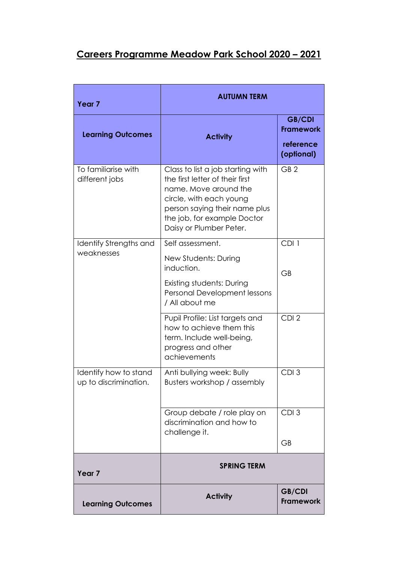## **Careers Programme Meadow Park School 2020 – 2021**

| Year <sub>7</sub>                              | <b>AUTUMN TERM</b>                                                                                                                                                                                                  |                                                              |
|------------------------------------------------|---------------------------------------------------------------------------------------------------------------------------------------------------------------------------------------------------------------------|--------------------------------------------------------------|
| <b>Learning Outcomes</b>                       | <b>Activity</b>                                                                                                                                                                                                     | <b>GB/CDI</b><br><b>Framework</b><br>reference<br>(optional) |
| To familiarise with<br>different jobs          | Class to list a job starting with<br>the first letter of their first<br>name. Move around the<br>circle, with each young<br>person saying their name plus<br>the job, for example Doctor<br>Daisy or Plumber Peter. | GB <sub>2</sub>                                              |
| <b>Identify Strengths and</b><br>weaknesses    | Self assessment.                                                                                                                                                                                                    | CDI 1                                                        |
|                                                | New Students: During<br>induction.                                                                                                                                                                                  | GB                                                           |
|                                                | Existing students: During<br>Personal Development lessons<br>/ All about me                                                                                                                                         |                                                              |
|                                                | Pupil Profile: List targets and<br>how to achieve them this<br>term. Include well-being,<br>progress and other<br>achievements                                                                                      | CDI <sub>2</sub>                                             |
| Identify how to stand<br>up to discrimination. | Anti bullying week: Bully<br>Busters workshop / assembly                                                                                                                                                            | CDI <sub>3</sub>                                             |
|                                                | Group debate / role play on<br>discrimination and how to<br>challenge it.                                                                                                                                           | CDI <sub>3</sub>                                             |
|                                                |                                                                                                                                                                                                                     | GB                                                           |
| Year <sub>7</sub>                              | <b>SPRING TERM</b>                                                                                                                                                                                                  |                                                              |
| <b>Learning Outcomes</b>                       | <b>Activity</b>                                                                                                                                                                                                     | GB/CDI<br><b>Framework</b>                                   |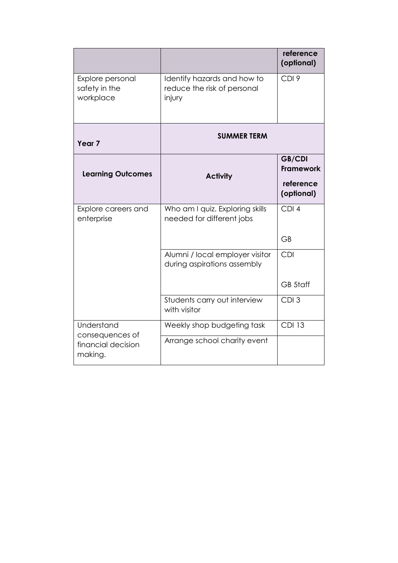|                                                |                                                                      | reference<br>(optional)    |
|------------------------------------------------|----------------------------------------------------------------------|----------------------------|
| Explore personal<br>safety in the<br>workplace | Identify hazards and how to<br>reduce the risk of personal<br>injury | CDI 9                      |
| Year <sub>7</sub>                              | <b>SUMMER TERM</b>                                                   |                            |
| <b>Learning Outcomes</b>                       | <b>Activity</b>                                                      | GB/CDI<br><b>Framework</b> |
|                                                |                                                                      | reference<br>(optional)    |
| Explore careers and<br>enterprise              | Who am I quiz. Exploring skills<br>needed for different jobs         | CDI <sub>4</sub>           |
|                                                |                                                                      | GB                         |
|                                                | Alumni / local employer visitor<br>during aspirations assembly       | <b>CDI</b>                 |
|                                                |                                                                      | GB 5taff                   |
|                                                | Students carry out interview<br>with visitor                         | CDI <sub>3</sub>           |
| Understand<br>consequences of                  | Weekly shop budgeting task                                           | <b>CDI 13</b>              |
| financial decision<br>making.                  | Arrange school charity event                                         |                            |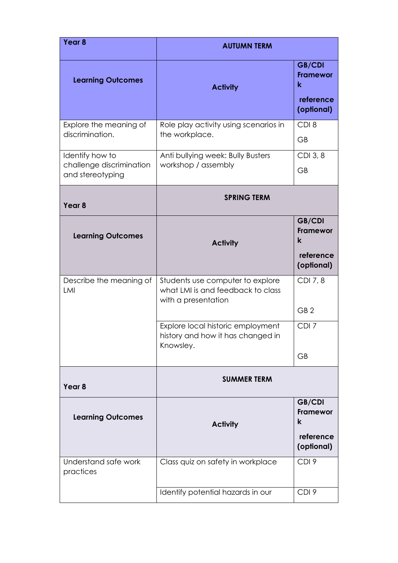| Year <sub>8</sub>                                               | <b>AUTUMN TERM</b>                                                                           |                                                                  |
|-----------------------------------------------------------------|----------------------------------------------------------------------------------------------|------------------------------------------------------------------|
| <b>Learning Outcomes</b>                                        | <b>Activity</b>                                                                              | <b>GB/CDI</b><br><b>Framewor</b><br>k<br>reference<br>(optional) |
| Explore the meaning of<br>discrimination.                       | Role play activity using scenarios in<br>the workplace.                                      | CDI <sub>8</sub><br>GB                                           |
| Identify how to<br>challenge discrimination<br>and stereotyping | Anti bullying week: Bully Busters<br>workshop / assembly                                     | CDI 3, 8<br>GB                                                   |
| Year <sub>8</sub>                                               | <b>SPRING TERM</b>                                                                           |                                                                  |
| <b>Learning Outcomes</b>                                        | <b>Activity</b>                                                                              | GB/CDI<br><b>Framewor</b><br>k<br>reference<br>(optional)        |
| Describe the meaning of<br>LMI                                  | Students use computer to explore<br>what LMI is and feedback to class<br>with a presentation | <b>CDI 7,8</b><br>GB <sub>2</sub>                                |
|                                                                 | Explore local historic employment<br>history and how it has changed in<br>Knowsley.          | CDI <sub>7</sub><br>GB                                           |
| Year <sub>8</sub>                                               | <b>SUMMER TERM</b>                                                                           |                                                                  |
| <b>Learning Outcomes</b>                                        | <b>Activity</b>                                                                              | GB/CDI<br><b>Framewor</b><br>k<br>reference<br>(optional)        |
| Understand safe work<br>practices                               | Class quiz on safety in workplace                                                            | CDI 9                                                            |
|                                                                 | Identify potential hazards in our                                                            | CDI 9                                                            |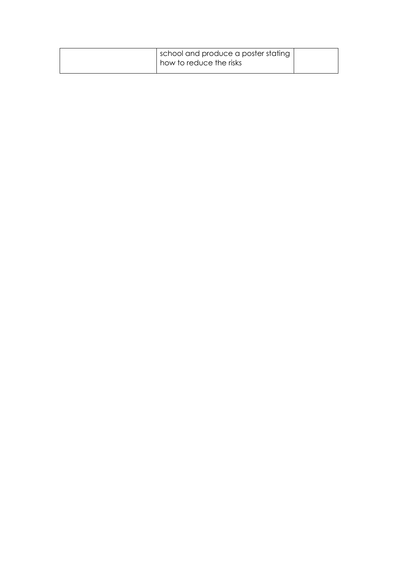| school and produce a poster stating |  |
|-------------------------------------|--|
| how to reduce the risks             |  |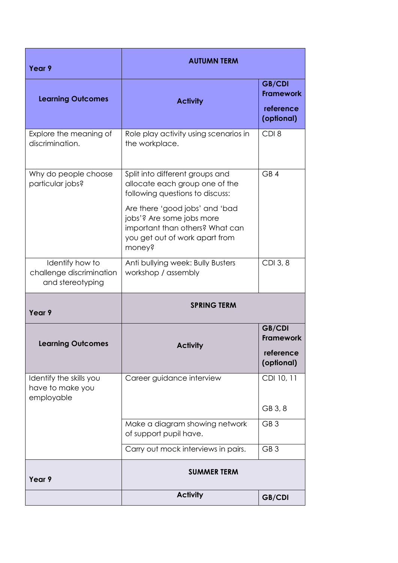| Year 9                                                          | <b>AUTUMN TERM</b>                                                                                                                                                                                                                                 |                                                              |
|-----------------------------------------------------------------|----------------------------------------------------------------------------------------------------------------------------------------------------------------------------------------------------------------------------------------------------|--------------------------------------------------------------|
| <b>Learning Outcomes</b>                                        | <b>Activity</b>                                                                                                                                                                                                                                    | <b>GB/CDI</b><br><b>Framework</b><br>reference<br>(optional) |
| Explore the meaning of<br>discrimination.                       | Role play activity using scenarios in<br>the workplace.                                                                                                                                                                                            | CDI <sub>8</sub>                                             |
| Why do people choose<br>particular jobs?                        | Split into different groups and<br>allocate each group one of the<br>following questions to discuss:<br>Are there 'good jobs' and 'bad<br>jobs'? Are some jobs more<br>important than others? What can<br>you get out of work apart from<br>money? | GB <sub>4</sub>                                              |
| Identify how to<br>challenge discrimination<br>and stereotyping | Anti bullying week: Bully Busters<br>workshop / assembly                                                                                                                                                                                           | CDI 3, 8                                                     |
| Year 9                                                          | <b>SPRING TERM</b>                                                                                                                                                                                                                                 |                                                              |
| <b>Learning Outcomes</b>                                        | <b>Activity</b>                                                                                                                                                                                                                                    | GB/CDI<br><b>Framework</b><br>reference<br>(optional)        |
| Identify the skills you<br>have to make you<br>employable       | Career guidance interview                                                                                                                                                                                                                          | CDI 10, 11<br>GB 3, 8                                        |
|                                                                 | Make a diagram showing network<br>of support pupil have.                                                                                                                                                                                           | GB <sub>3</sub>                                              |
|                                                                 | Carry out mock interviews in pairs.                                                                                                                                                                                                                | GB <sub>3</sub>                                              |
| Year 9                                                          | <b>SUMMER TERM</b>                                                                                                                                                                                                                                 |                                                              |
|                                                                 | <b>Activity</b>                                                                                                                                                                                                                                    |                                                              |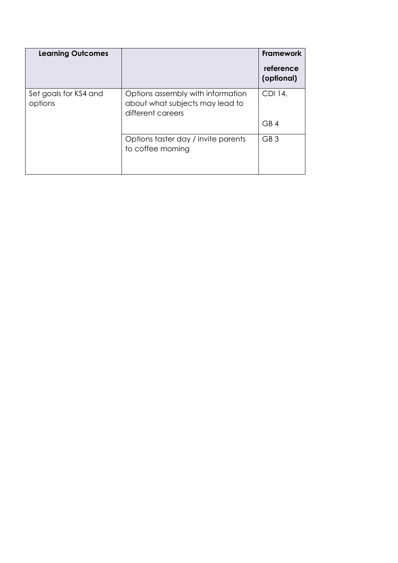| <b>Learning Outcomes</b>         |                                                                                           | <b>Framework</b><br>reference<br>(optional) |
|----------------------------------|-------------------------------------------------------------------------------------------|---------------------------------------------|
| Set goals for KS4 and<br>options | Options assembly with information<br>about what subjects may lead to<br>different careers | CDI 14,<br>GB <sub>4</sub>                  |
|                                  |                                                                                           |                                             |
|                                  | Options taster day / invite parents<br>to coffee morning                                  | GB <sub>3</sub>                             |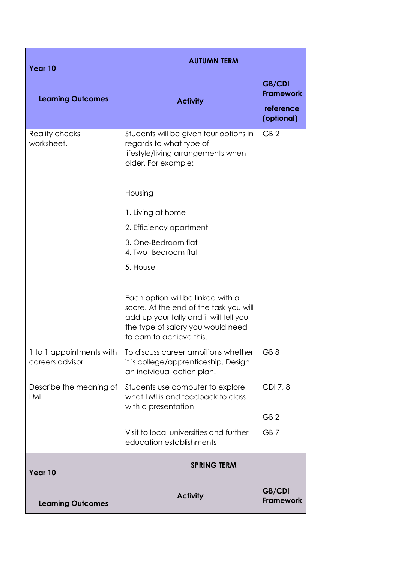| Year 10                                     | <b>AUTUMN TERM</b>                                                                                                                                                                     |                                                |
|---------------------------------------------|----------------------------------------------------------------------------------------------------------------------------------------------------------------------------------------|------------------------------------------------|
| <b>Learning Outcomes</b>                    | <b>Activity</b>                                                                                                                                                                        | <b>GB/CDI</b><br><b>Framework</b><br>reference |
|                                             |                                                                                                                                                                                        | (optional)                                     |
| <b>Reality checks</b><br>worksheet.         | Students will be given four options in<br>regards to what type of<br>lifestyle/living arrangements when<br>older. For example:                                                         | GB <sub>2</sub>                                |
|                                             | Housing                                                                                                                                                                                |                                                |
|                                             | 1. Living at home                                                                                                                                                                      |                                                |
|                                             | 2. Efficiency apartment                                                                                                                                                                |                                                |
|                                             | 3. One-Bedroom flat<br>4. Two-Bedroom flat                                                                                                                                             |                                                |
|                                             | 5. House                                                                                                                                                                               |                                                |
|                                             | Each option will be linked with a<br>score. At the end of the task you will<br>add up your tally and it will tell you<br>the type of salary you would need<br>to earn to achieve this. |                                                |
| 1 to 1 appointments with<br>careers advisor | To discuss career ambitions whether<br>it is college/apprenticeship. Design<br>an individual action plan.                                                                              | GB8                                            |
| Describe the meaning of<br>LMI              | Students use computer to explore<br>what LMI is and feedback to class<br>with a presentation                                                                                           | CDI 7, 8                                       |
|                                             |                                                                                                                                                                                        | GB <sub>2</sub>                                |
|                                             | Visit to local universities and further<br>education establishments                                                                                                                    | GB <sub>7</sub>                                |
| Year 10                                     | <b>SPRING TERM</b>                                                                                                                                                                     |                                                |
| <b>Learning Outcomes</b>                    | <b>Activity</b>                                                                                                                                                                        | GB/CDI<br><b>Framework</b>                     |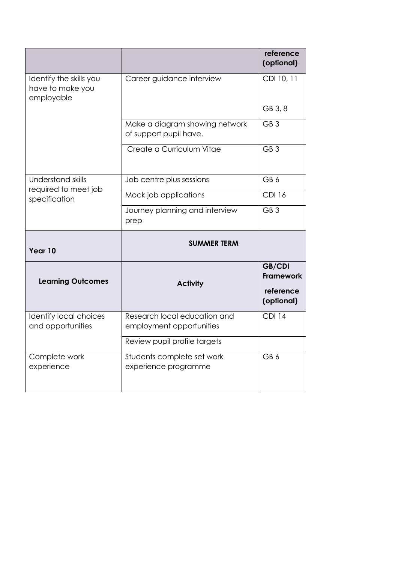|                                                           |                                                          | reference<br>(optional)           |
|-----------------------------------------------------------|----------------------------------------------------------|-----------------------------------|
| Identify the skills you<br>have to make you<br>employable | Career guidance interview                                | CDI 10, 11                        |
|                                                           |                                                          | GB 3, 8                           |
|                                                           | Make a diagram showing network<br>of support pupil have. | GB <sub>3</sub>                   |
|                                                           | Create a Curriculum Vitae                                | GB <sub>3</sub>                   |
| <b>Understand skills</b><br>required to meet job          | Job centre plus sessions                                 | GB6                               |
| specification                                             | Mock job applications                                    | <b>CDI 16</b>                     |
|                                                           | Journey planning and interview<br>prep                   | GB <sub>3</sub>                   |
| Year 10                                                   | <b>SUMMER TERM</b>                                       |                                   |
| <b>Learning Outcomes</b>                                  | <b>Activity</b>                                          | <b>GB/CDI</b><br><b>Framework</b> |
|                                                           |                                                          | reference<br>(optional)           |
|                                                           |                                                          |                                   |
| Identify local choices<br>and opportunities               | Research local education and<br>employment opportunities | <b>CDI 14</b>                     |
|                                                           | Review pupil profile targets                             |                                   |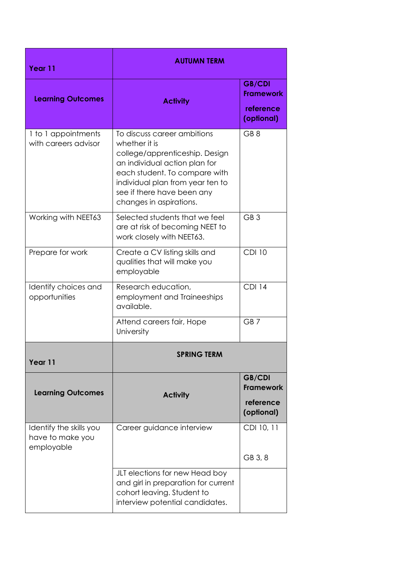| Year 11                                                   | <b>AUTUMN TERM</b>                                                                                                                                                                                                                            |                                                              |
|-----------------------------------------------------------|-----------------------------------------------------------------------------------------------------------------------------------------------------------------------------------------------------------------------------------------------|--------------------------------------------------------------|
| <b>Learning Outcomes</b>                                  | <b>Activity</b>                                                                                                                                                                                                                               | <b>GB/CDI</b><br><b>Framework</b><br>reference<br>(optional) |
| 1 to 1 appointments<br>with careers advisor               | To discuss career ambitions<br>whether it is<br>college/apprenticeship. Design<br>an individual action plan for<br>each student. To compare with<br>individual plan from year ten to<br>see if there have been any<br>changes in aspirations. | GB <sub>8</sub>                                              |
| Working with NEET63                                       | Selected students that we feel<br>are at risk of becoming NEET to<br>work closely with NEET63.                                                                                                                                                | GB <sub>3</sub>                                              |
| Prepare for work                                          | Create a CV listing skills and<br>qualities that will make you<br>employable                                                                                                                                                                  | <b>CDI 10</b>                                                |
| Identify choices and<br>opportunities                     | Research education,<br>employment and Traineeships<br>available.                                                                                                                                                                              | <b>CDI 14</b>                                                |
|                                                           | Attend careers fair, Hope<br>University                                                                                                                                                                                                       | GB <sub>7</sub>                                              |
| Year 11                                                   | <b>SPRING TERM</b>                                                                                                                                                                                                                            |                                                              |
| <b>Learning Outcomes</b>                                  | <b>Activity</b>                                                                                                                                                                                                                               | GB/CDI<br><b>Framework</b>                                   |
|                                                           |                                                                                                                                                                                                                                               | reference<br>(optional)                                      |
| Identify the skills you<br>have to make you<br>employable | Career guidance interview                                                                                                                                                                                                                     | CDI 10, 11<br>GB 3, 8                                        |
|                                                           | JLT elections for new Head boy<br>and girl in preparation for current<br>cohort leaving. Student to<br>interview potential candidates.                                                                                                        |                                                              |